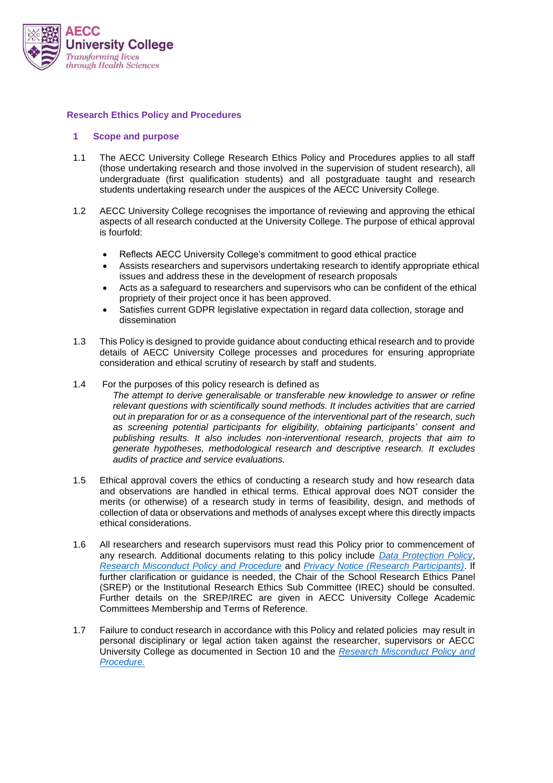

## **Research Ethics Policy and Procedures**

#### **1 Scope and purpose**

- 1.1 The AECC University College Research Ethics Policy and Procedures applies to all staff (those undertaking research and those involved in the supervision of student research), all undergraduate (first qualification students) and all postgraduate taught and research students undertaking research under the auspices of the AECC University College.
- 1.2 AECC University College recognises the importance of reviewing and approving the ethical aspects of all research conducted at the University College. The purpose of ethical approval is fourfold:
	- Reflects AECC University College's commitment to good ethical practice
	- Assists researchers and supervisors undertaking research to identify appropriate ethical issues and address these in the development of research proposals
	- Acts as a safeguard to researchers and supervisors who can be confident of the ethical propriety of their project once it has been approved.
	- Satisfies current GDPR legislative expectation in regard data collection, storage and dissemination
- 1.3 This Policy is designed to provide guidance about conducting ethical research and to provide details of AECC University College processes and procedures for ensuring appropriate consideration and ethical scrutiny of research by staff and students.
- 1.4 For the purposes of this policy research is defined as *The attempt to derive generalisable or transferable new knowledge to answer or refine relevant questions with scientifically sound methods. It includes activities that are carried out in preparation for or as a consequence of the interventional part of the research, such as screening potential participants for eligibility, obtaining participants' consent and publishing results. It also includes non-interventional research, projects that aim to generate hypotheses, methodological research and descriptive research. It excludes audits of practice and service evaluations.*
- 1.5 Ethical approval covers the ethics of conducting a research study and how research data and observations are handled in ethical terms. Ethical approval does NOT consider the merits (or otherwise) of a research study in terms of feasibility, design, and methods of collection of data or observations and methods of analyses except where this directly impacts ethical considerations.
- 1.6 All researchers and research supervisors must read this Policy prior to commencement of any research. Additional documents relating to this policy include *[Data Protection Policy](https://aeccacuk-my.sharepoint.com/:b:/g/personal/dnewell_aecc_ac_uk/EbcT9O5LTqxPnivsDglCWsEBxmF66p0L96ptzVzGqxArDA?e=F7VnQ3)*, *[Research Misconduct Policy and Procedure](https://public.aecc.ac.uk/files/01.%20Administration/03.%20Staff%20Information/1.%20Staff%20Handbook,%20Policies%20and%20Procedures/Research%20Misconduct%20Policy%20and%20Procedure.pdf)* and *[Privacy Notice \(Research Participants\)](https://aeccacuk-my.sharepoint.com/:b:/g/personal/dnewell_aecc_ac_uk/EdNJDPfHoRVJuffRlqfZfREBhfmoYsHLNbfZuy8GkW0ztw?e=wQ6dDH)*. If further clarification or guidance is needed, the Chair of the School Research Ethics Panel (SREP) or the Institutional Research Ethics Sub Committee (IREC) should be consulted. Further details on the SREP/IREC are given in AECC University College Academic Committees Membership and Terms of Reference.
- 1.7 Failure to conduct research in accordance with this Policy and related policies may result in personal disciplinary or legal action taken against the researcher, supervisors or AECC University College as documented in Section 10 and the *[Research Misconduct Policy and](https://public.aecc.ac.uk/files/01.%20Administration/03.%20Staff%20Information/1.%20Staff%20Handbook,%20Policies%20and%20Procedures/Research%20Misconduct%20Policy%20and%20Procedure.pdf)  [Procedure.](https://public.aecc.ac.uk/files/01.%20Administration/03.%20Staff%20Information/1.%20Staff%20Handbook,%20Policies%20and%20Procedures/Research%20Misconduct%20Policy%20and%20Procedure.pdf)*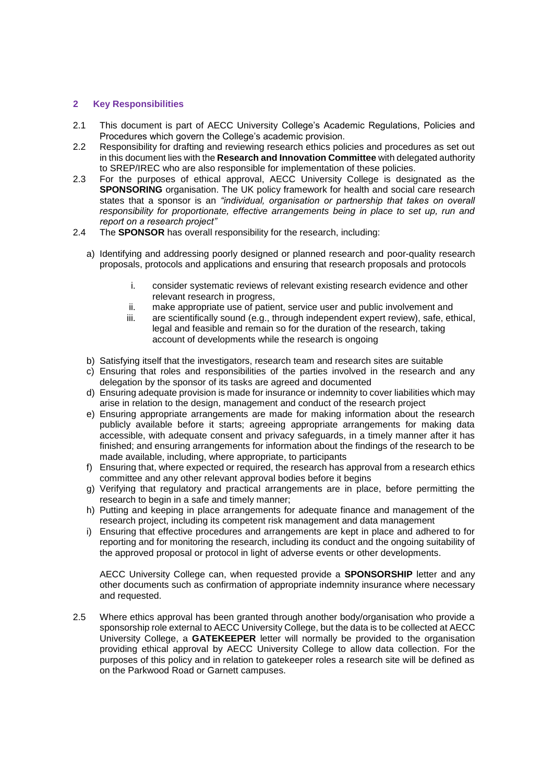## **2 Key Responsibilities**

- 2.1 This document is part of AECC University College's Academic Regulations, Policies and Procedures which govern the College's academic provision.
- 2.2 Responsibility for drafting and reviewing research ethics policies and procedures as set out in this document lies with the **Research and Innovation Committee** with delegated authority to SREP/IREC who are also responsible for implementation of these policies.
- 2.3 For the purposes of ethical approval, AECC University College is designated as the **SPONSORING** organisation. The UK policy framework for health and social care research states that a sponsor is an *"individual, organisation or partnership that takes on overall responsibility for proportionate, effective arrangements being in place to set up, run and report on a research project"*
- 2.4 The **SPONSOR** has overall responsibility for the research, including:
	- a) Identifying and addressing poorly designed or planned research and poor-quality research proposals, protocols and applications and ensuring that research proposals and protocols
		- i. consider systematic reviews of relevant existing research evidence and other relevant research in progress,
		- ii. make appropriate use of patient, service user and public involvement and
		- iii. are scientifically sound (e.g., through independent expert review), safe, ethical, legal and feasible and remain so for the duration of the research, taking account of developments while the research is ongoing
	- b) Satisfying itself that the investigators, research team and research sites are suitable
	- c) Ensuring that roles and responsibilities of the parties involved in the research and any delegation by the sponsor of its tasks are agreed and documented
	- d) Ensuring adequate provision is made for insurance or indemnity to cover liabilities which may arise in relation to the design, management and conduct of the research project
	- e) Ensuring appropriate arrangements are made for making information about the research publicly available before it starts; agreeing appropriate arrangements for making data accessible, with adequate consent and privacy safeguards, in a timely manner after it has finished; and ensuring arrangements for information about the findings of the research to be made available, including, where appropriate, to participants
	- f) Ensuring that, where expected or required, the research has approval from a research ethics committee and any other relevant approval bodies before it begins
	- g) Verifying that regulatory and practical arrangements are in place, before permitting the research to begin in a safe and timely manner;
	- h) Putting and keeping in place arrangements for adequate finance and management of the research project, including its competent risk management and data management
	- i) Ensuring that effective procedures and arrangements are kept in place and adhered to for reporting and for monitoring the research, including its conduct and the ongoing suitability of the approved proposal or protocol in light of adverse events or other developments.

AECC University College can, when requested provide a **SPONSORSHIP** letter and any other documents such as confirmation of appropriate indemnity insurance where necessary and requested.

2.5 Where ethics approval has been granted through another body/organisation who provide a sponsorship role external to AECC University College, but the data is to be collected at AECC University College, a **GATEKEEPER** letter will normally be provided to the organisation providing ethical approval by AECC University College to allow data collection. For the purposes of this policy and in relation to gatekeeper roles a research site will be defined as on the Parkwood Road or Garnett campuses.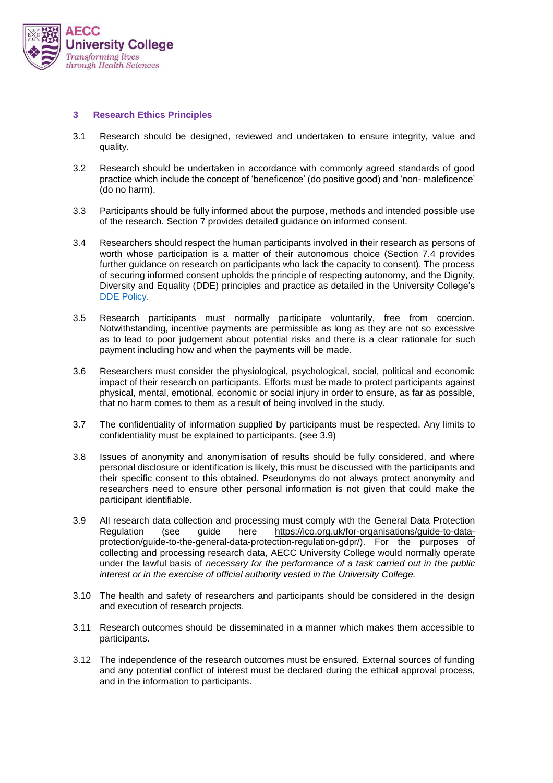

## **3 Research Ethics Principles**

- 3.1 Research should be designed, reviewed and undertaken to ensure integrity, value and quality.
- 3.2 Research should be undertaken in accordance with commonly agreed standards of good practice which include the concept of 'beneficence' (do positive good) and 'non- maleficence' (do no harm).
- 3.3 Participants should be fully informed about the purpose, methods and intended possible use of the research. Section 7 provides detailed guidance on informed consent.
- 3.4 Researchers should respect the human participants involved in their research as persons of worth whose participation is a matter of their autonomous choice (Section 7.4 provides further guidance on research on participants who lack the capacity to consent). The process of securing informed consent upholds the principle of respecting autonomy, and the Dignity, Diversity and Equality (DDE) principles and practice as detailed in the University College's DDE [Policy.](https://public.aecc.ac.uk/files/01.%20Administration/03.%20Staff%20Information/9.%20Dignity%20Diversity%20and%20Equality/Dignity%20Diversity%20and%20Equality%20Policy.pdf)
- 3.5 Research participants must normally participate voluntarily, free from coercion. Notwithstanding, incentive payments are permissible as long as they are not so excessive as to lead to poor judgement about potential risks and there is a clear rationale for such payment including how and when the payments will be made.
- 3.6 Researchers must consider the physiological, psychological, social, political and economic impact of their research on participants. Efforts must be made to protect participants against physical, mental, emotional, economic or social injury in order to ensure, as far as possible, that no harm comes to them as a result of being involved in the study.
- 3.7 The confidentiality of information supplied by participants must be respected. Any limits to confidentiality must be explained to participants. (see 3.9)
- 3.8 Issues of anonymity and anonymisation of results should be fully considered, and where personal disclosure or identification is likely, this must be discussed with the participants and their specific consent to this obtained. Pseudonyms do not always protect anonymity and researchers need to ensure other personal information is not given that could make the participant identifiable.
- 3.9 All research data collection and processing must comply with the General Data Protection Regulation (see guide here [https://ico.org.uk/for-organisations/guide-to-data](https://ico.org.uk/for-organisations/guide-to-data-protection/guide-to-the-general-data-protection-regulation-gdpr/)[protection/guide-to-the-general-data-protection-regulation-gdpr/\)](https://ico.org.uk/for-organisations/guide-to-data-protection/guide-to-the-general-data-protection-regulation-gdpr/). For the purposes of collecting and processing research data, AECC University College would normally operate under the lawful basis of *necessary for the performance of a task carried out in the public interest or in the exercise of official authority vested in the University College.*
- 3.10 The health and safety of researchers and participants should be considered in the design and execution of research projects.
- 3.11 Research outcomes should be disseminated in a manner which makes them accessible to participants.
- 3.12 The independence of the research outcomes must be ensured. External sources of funding and any potential conflict of interest must be declared during the ethical approval process, and in the information to participants.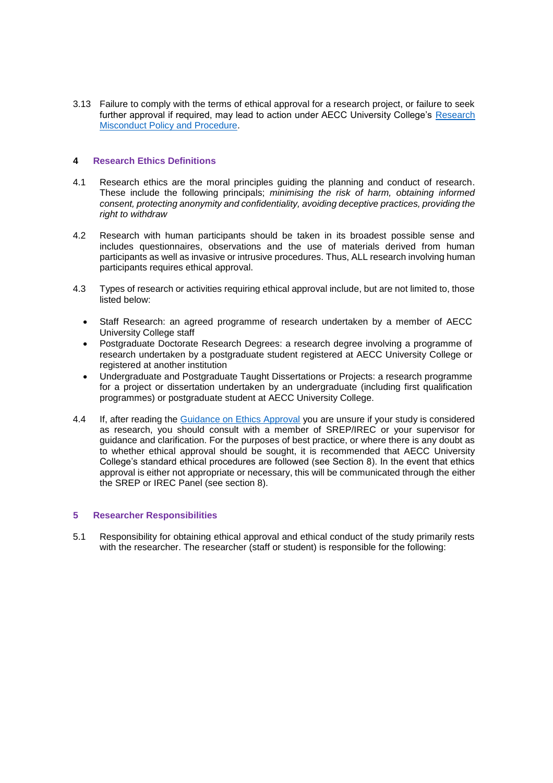3.13 Failure to comply with the terms of ethical approval for a research project, or failure to seek further approval if required, may lead to action under AECC University College's [Research](https://public.aecc.ac.uk/files/01.%20Administration/03.%20Staff%20Information/1.%20Staff%20Handbook,%20Policies%20and%20Procedures/Research%20Misconduct%20Policy%20and%20Procedure.pdf)  [Misconduct Policy and Procedure.](https://public.aecc.ac.uk/files/01.%20Administration/03.%20Staff%20Information/1.%20Staff%20Handbook,%20Policies%20and%20Procedures/Research%20Misconduct%20Policy%20and%20Procedure.pdf)

## **4 Research Ethics Definitions**

- 4.1 Research ethics are the moral principles guiding the planning and conduct of research. These include the following principals; *minimising the risk of harm, obtaining informed consent, protecting anonymity and confidentiality, avoiding deceptive practices, providing the right to withdraw*
- 4.2 Research with human participants should be taken in its broadest possible sense and includes questionnaires, observations and the use of materials derived from human participants as well as invasive or intrusive procedures. Thus, ALL research involving human participants requires ethical approval.
- 4.3 Types of research or activities requiring ethical approval include, but are not limited to, those listed below:
	- Staff Research: an agreed programme of research undertaken by a member of AECC University College staff
	- Postgraduate Doctorate Research Degrees: a research degree involving a programme of research undertaken by a postgraduate student registered at AECC University College or registered at another institution
	- Undergraduate and Postgraduate Taught Dissertations or Projects: a research programme for a project or dissertation undertaken by an undergraduate (including first qualification programmes) or postgraduate student at AECC University College.
- 4.4 If, after reading the [Guidance on Ethics Approval](https://aeccacuk-my.sharepoint.com/:w:/g/personal/dnewell_aecc_ac_uk/EaoVnzxPprFMoEbL0dTug8ABJ5sBTUDgipMuDcZ4K4kqrw?e=Pf2eKK) you are unsure if your study is considered as research, you should consult with a member of SREP/IREC or your supervisor for guidance and clarification. For the purposes of best practice, or where there is any doubt as to whether ethical approval should be sought, it is recommended that AECC University College's standard ethical procedures are followed (see Section 8). In the event that ethics approval is either not appropriate or necessary, this will be communicated through the either the SREP or IREC Panel (see section 8).

#### **5 Researcher Responsibilities**

5.1 Responsibility for obtaining ethical approval and ethical conduct of the study primarily rests with the researcher. The researcher (staff or student) is responsible for the following: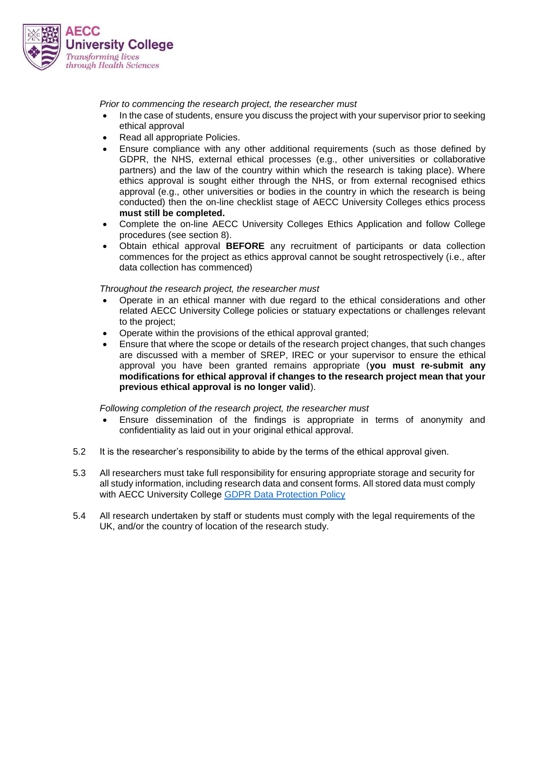

*Prior to commencing the research project, the researcher must*

- In the case of students, ensure you discuss the project with your supervisor prior to seeking ethical approval
- Read all appropriate Policies.
- Ensure compliance with any other additional requirements (such as those defined by GDPR, the NHS, external ethical processes (e.g., other universities or collaborative partners) and the law of the country within which the research is taking place). Where ethics approval is sought either through the NHS, or from external recognised ethics approval (e.g., other universities or bodies in the country in which the research is being conducted) then the on-line checklist stage of AECC University Colleges ethics process **must still be completed.**
- Complete the on-line AECC University Colleges Ethics Application and follow College procedures (see section 8).
- Obtain ethical approval **BEFORE** any recruitment of participants or data collection commences for the project as ethics approval cannot be sought retrospectively (i.e., after data collection has commenced)

*Throughout the research project, the researcher must*

- Operate in an ethical manner with due regard to the ethical considerations and other related AECC University College policies or statuary expectations or challenges relevant to the project;
- Operate within the provisions of the ethical approval granted;
- Ensure that where the scope or details of the research project changes, that such changes are discussed with a member of SREP, IREC or your supervisor to ensure the ethical approval you have been granted remains appropriate (**you must re-submit any modifications for ethical approval if changes to the research project mean that your previous ethical approval is no longer valid**).

*Following completion of the research project, the researcher must*

- Ensure dissemination of the findings is appropriate in terms of anonymity and confidentiality as laid out in your original ethical approval.
- 5.2 It is the researcher's responsibility to abide by the terms of the ethical approval given.
- 5.3 All researchers must take full responsibility for ensuring appropriate storage and security for all study information, including research data and consent forms. All stored data must comply with AECC University College [GDPR Data Protection Policy](https://aeccacuk-my.sharepoint.com/:b:/g/personal/dnewell_aecc_ac_uk/EbcT9O5LTqxPnivsDglCWsEBxmF66p0L96ptzVzGqxArDA?e=w3T3WK)
- 5.4 All research undertaken by staff or students must comply with the legal requirements of the UK, and/or the country of location of the research study.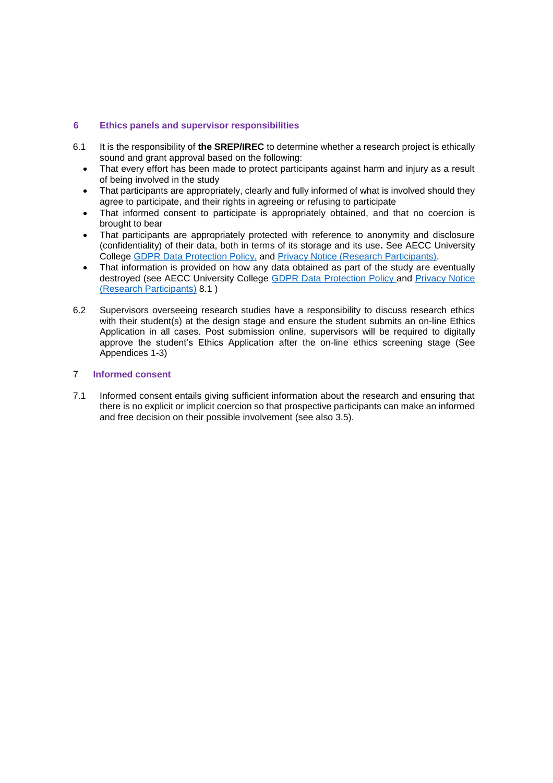# **6 Ethics panels and supervisor responsibilities**

- 6.1 It is the responsibility of **the SREP/IREC** to determine whether a research project is ethically sound and grant approval based on the following:
	- That every effort has been made to protect participants against harm and injury as a result of being involved in the study
	- That participants are appropriately, clearly and fully informed of what is involved should they agree to participate, and their rights in agreeing or refusing to participate
	- That informed consent to participate is appropriately obtained, and that no coercion is brought to bear
	- That participants are appropriately protected with reference to anonymity and disclosure (confidentiality) of their data, both in terms of its storage and its use**.** See AECC University College [GDPR Data Protection Policy,](https://aeccacuk-my.sharepoint.com/:b:/g/personal/dnewell_aecc_ac_uk/EbcT9O5LTqxPnivsDglCWsEBxmF66p0L96ptzVzGqxArDA?e=w3T3WK) and [Privacy Notice \(Research Participants\).](https://aeccacuk-my.sharepoint.com/:b:/g/personal/dnewell_aecc_ac_uk/EdNJDPfHoRVJuffRlqfZfREBhfmoYsHLNbfZuy8GkW0ztw?e=wQ6dDH)
	- That information is provided on how any data obtained as part of the study are eventually destroyed (see AECC University College [GDPR Data Protection Policy](https://aeccacuk-my.sharepoint.com/:b:/g/personal/dnewell_aecc_ac_uk/EbcT9O5LTqxPnivsDglCWsEBxmF66p0L96ptzVzGqxArDA?e=w3T3WK) and [Privacy Notice](https://aeccacuk-my.sharepoint.com/:b:/g/personal/dnewell_aecc_ac_uk/EdNJDPfHoRVJuffRlqfZfREBhfmoYsHLNbfZuy8GkW0ztw?e=wQ6dDH)  [\(Research Participants\)](https://aeccacuk-my.sharepoint.com/:b:/g/personal/dnewell_aecc_ac_uk/EdNJDPfHoRVJuffRlqfZfREBhfmoYsHLNbfZuy8GkW0ztw?e=wQ6dDH) 8.1 )
- 6.2 Supervisors overseeing research studies have a responsibility to discuss research ethics with their student(s) at the design stage and ensure the student submits an on-line Ethics Application in all cases. Post submission online, supervisors will be required to digitally approve the student's Ethics Application after the on-line ethics screening stage (See Appendices 1-3)

## 7 **Informed consent**

7.1 Informed consent entails giving sufficient information about the research and ensuring that there is no explicit or implicit coercion so that prospective participants can make an informed and free decision on their possible involvement (see also 3.5).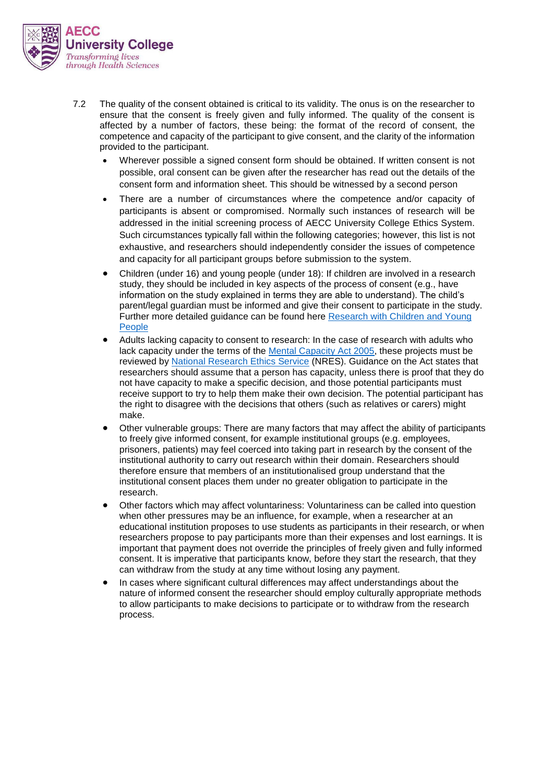

- 7.2 The quality of the consent obtained is critical to its validity. The onus is on the researcher to ensure that the consent is freely given and fully informed. The quality of the consent is affected by a number of factors, these being: the format of the record of consent, the competence and capacity of the participant to give consent, and the clarity of the information provided to the participant.
	- Wherever possible a signed consent form should be obtained. If written consent is not possible, oral consent can be given after the researcher has read out the details of the consent form and information sheet. This should be witnessed by a second person
	- There are a number of circumstances where the competence and/or capacity of participants is absent or compromised. Normally such instances of research will be addressed in the initial screening process of AECC University College Ethics System. Such circumstances typically fall within the following categories; however, this list is not exhaustive, and researchers should independently consider the issues of competence and capacity for all participant groups before submission to the system.
	- Children (under 16) and young people (under 18): If children are involved in a research study, they should be included in key aspects of the process of consent (e.g., have information on the study explained in terms they are able to understand). The child's parent/legal guardian must be informed and give their consent to participate in the study. Further more detailed guidance can be found here [Research with Children and Young](https://www.invo.org.uk/wp-content/uploads/2016/01/involvingcyp-tips-keyissues-January2016.pdf)  [People](https://www.invo.org.uk/wp-content/uploads/2016/01/involvingcyp-tips-keyissues-January2016.pdf)
	- Adults lacking capacity to consent to research: In the case of research with adults who lack capacity under the terms of the [Mental Capacity Act 2005,](https://www.legislation.gov.uk/ukpga/2005/9/contents) these projects must be reviewed by [National Research Ethics Service](https://www.hra.nhs.uk/about-us/committees-and-services/res-and-recs/research-ethics-service/) (NRES). Guidance on the Act states that researchers should assume that a person has capacity, unless there is proof that they do not have capacity to make a specific decision, and those potential participants must receive support to try to help them make their own decision. The potential participant has the right to disagree with the decisions that others (such as relatives or carers) might make.
	- Other vulnerable groups: There are many factors that may affect the ability of participants to freely give informed consent, for example institutional groups (e.g. employees, prisoners, patients) may feel coerced into taking part in research by the consent of the institutional authority to carry out research within their domain. Researchers should therefore ensure that members of an institutionalised group understand that the institutional consent places them under no greater obligation to participate in the research.
	- Other factors which may affect voluntariness: Voluntariness can be called into question when other pressures may be an influence, for example, when a researcher at an educational institution proposes to use students as participants in their research, or when researchers propose to pay participants more than their expenses and lost earnings. It is important that payment does not override the principles of freely given and fully informed consent. It is imperative that participants know, before they start the research, that they can withdraw from the study at any time without losing any payment.
	- In cases where significant cultural differences may affect understandings about the nature of informed consent the researcher should employ culturally appropriate methods to allow participants to make decisions to participate or to withdraw from the research process.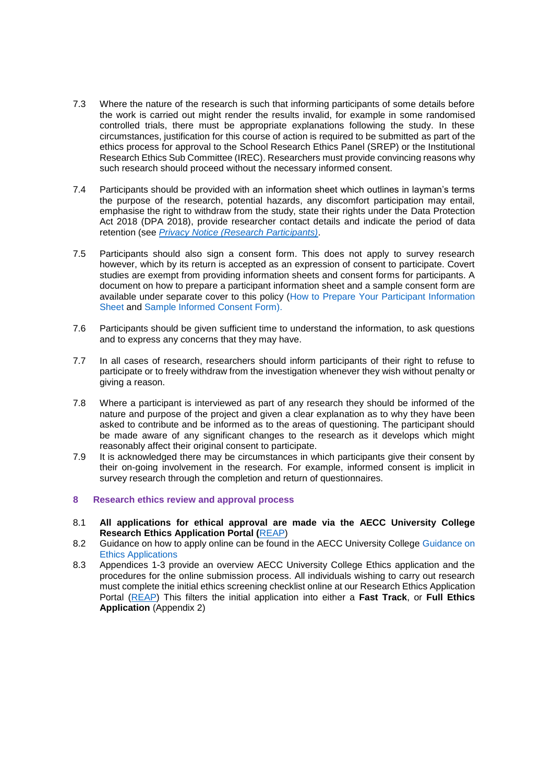- 7.3 Where the nature of the research is such that informing participants of some details before the work is carried out might render the results invalid, for example in some randomised controlled trials, there must be appropriate explanations following the study. In these circumstances, justification for this course of action is required to be submitted as part of the ethics process for approval to the School Research Ethics Panel (SREP) or the Institutional Research Ethics Sub Committee (IREC). Researchers must provide convincing reasons why such research should proceed without the necessary informed consent.
- 7.4 Participants should be provided with an information sheet which outlines in layman's terms the purpose of the research, potential hazards, any discomfort participation may entail, emphasise the right to withdraw from the study, state their rights under the Data Protection Act 2018 (DPA 2018), provide researcher contact details and indicate the period of data retention (see *[Privacy Notice \(Research Participants\)](https://aeccacuk-my.sharepoint.com/:b:/g/personal/dnewell_aecc_ac_uk/EdNJDPfHoRVJuffRlqfZfREBhfmoYsHLNbfZuy8GkW0ztw?e=wQ6dDH)*.
- 7.5 Participants should also sign a consent form. This does not apply to survey research however, which by its return is accepted as an expression of consent to participate. Covert studies are exempt from providing information sheets and consent forms for participants. A document on how to prepare a participant information sheet and a sample consent form are available under separate cover to this policy [\(How to Prepare Your Participant Information](https://aeccacuk-my.sharepoint.com/:w:/g/personal/dnewell_aecc_ac_uk/Ef6NyLCy4-BPuwDWagMjPbABZmBeOwQRvesHqRSH_BZIgw?e=LcEen0)  [Sheet](https://aeccacuk-my.sharepoint.com/:w:/g/personal/dnewell_aecc_ac_uk/Ef6NyLCy4-BPuwDWagMjPbABZmBeOwQRvesHqRSH_BZIgw?e=LcEen0) and [Sample Informed Consent Form\).](https://aeccacuk-my.sharepoint.com/:w:/g/personal/dnewell_aecc_ac_uk/EVokzsflhBpKv6PRn1GN-LkBdPw8X6qMfO-Aw9v52LzXKQ?e=SlBiZU)
- 7.6 Participants should be given sufficient time to understand the information, to ask questions and to express any concerns that they may have.
- 7.7 In all cases of research, researchers should inform participants of their right to refuse to participate or to freely withdraw from the investigation whenever they wish without penalty or giving a reason.
- 7.8 Where a participant is interviewed as part of any research they should be informed of the nature and purpose of the project and given a clear explanation as to why they have been asked to contribute and be informed as to the areas of questioning. The participant should be made aware of any significant changes to the research as it develops which might reasonably affect their original consent to participate.
- 7.9 It is acknowledged there may be circumstances in which participants give their consent by their on-going involvement in the research. For example, informed consent is implicit in survey research through the completion and return of questionnaires.

#### **8 Research ethics review and approval process**

- 8.1 **All applications for ethical approval are made via the AECC University College Research Ethics Application Portal (**[REAP\)](https://reap.aecc.ac.uk/)
- 8.2 Guidance on how to apply online can be found in the AECC University College [Guidance on](https://aeccacuk-my.sharepoint.com/:w:/g/personal/dnewell_aecc_ac_uk/EaoVnzxPprFMoEbL0dTug8ABJ5sBTUDgipMuDcZ4K4kqrw?e=Pf2eKK&wdLOR=cF8CC7576-8E90-AF48-A600-8F806C7D3CA4)  [Ethics Applications](https://aeccacuk-my.sharepoint.com/:w:/g/personal/dnewell_aecc_ac_uk/EaoVnzxPprFMoEbL0dTug8ABJ5sBTUDgipMuDcZ4K4kqrw?e=Pf2eKK&wdLOR=cF8CC7576-8E90-AF48-A600-8F806C7D3CA4)
- 8.3 Appendices 1-3 provide an overview AECC University College Ethics application and the procedures for the online submission process. All individuals wishing to carry out research must complete the initial ethics screening checklist online at our Research Ethics Application Portal [\(REAP\)](https://reap.aecc.ac.uk/) This filters the initial application into either a **Fast Track**, or **Full Ethics Application** (Appendix 2)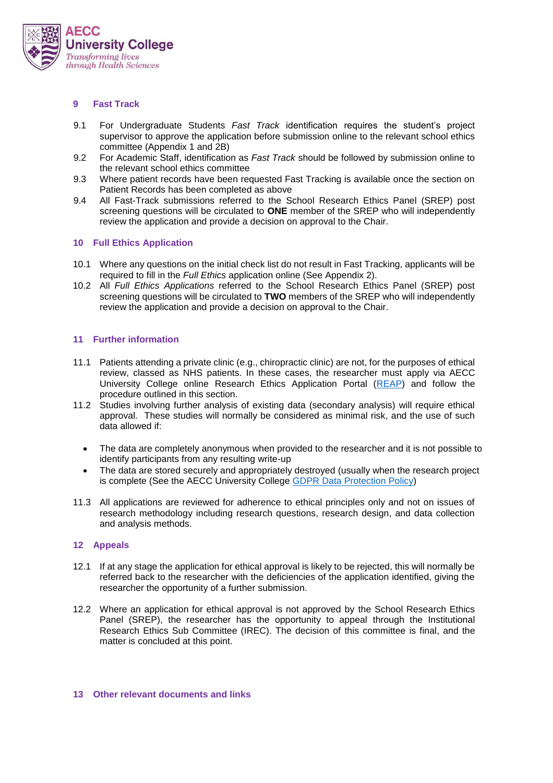

### **9 Fast Track**

- 9.1 For Undergraduate Students *Fast Track* identification requires the student's project supervisor to approve the application before submission online to the relevant school ethics committee (Appendix 1 and 2B)
- 9.2 For Academic Staff, identification as *Fast Track* should be followed by submission online to the relevant school ethics committee
- 9.3 Where patient records have been requested Fast Tracking is available once the section on Patient Records has been completed as above
- 9.4 All Fast-Track submissions referred to the School Research Ethics Panel (SREP) post screening questions will be circulated to **ONE** member of the SREP who will independently review the application and provide a decision on approval to the Chair.

# **10 Full Ethics Application**

- 10.1 Where any questions on the initial check list do not result in Fast Tracking, applicants will be required to fill in the *Full Ethics* application online (See Appendix 2).
- 10.2 All *Full Ethics Applications* referred to the School Research Ethics Panel (SREP) post screening questions will be circulated to **TWO** members of the SREP who will independently review the application and provide a decision on approval to the Chair.

# **11 Further information**

- 11.1 Patients attending a private clinic (e.g., chiropractic clinic) are not, for the purposes of ethical review, classed as NHS patients. In these cases, the researcher must apply via AECC University College online Research Ethics Application Portal [\(REAP\)](https://reap.aecc.ac.uk/) and follow the procedure outlined in this section.
- 11.2 Studies involving further analysis of existing data (secondary analysis) will require ethical approval. These studies will normally be considered as minimal risk, and the use of such data allowed if:
	- The data are completely anonymous when provided to the researcher and it is not possible to identify participants from any resulting write-up
	- The data are stored securely and appropriately destroyed (usually when the research project is complete (See the AECC University College [GDPR Data Protection Policy\)](https://aeccacuk-my.sharepoint.com/:b:/g/personal/dnewell_aecc_ac_uk/EbcT9O5LTqxPnivsDglCWsEBxmF66p0L96ptzVzGqxArDA?e=w3T3WK)
- 11.3 All applications are reviewed for adherence to ethical principles only and not on issues of research methodology including research questions, research design, and data collection and analysis methods.

#### **12 Appeals**

- 12.1 If at any stage the application for ethical approval is likely to be rejected, this will normally be referred back to the researcher with the deficiencies of the application identified, giving the researcher the opportunity of a further submission.
- 12.2 Where an application for ethical approval is not approved by the School Research Ethics Panel (SREP), the researcher has the opportunity to appeal through the Institutional Research Ethics Sub Committee (IREC). The decision of this committee is final, and the matter is concluded at this point.

## **13 Other relevant documents and links**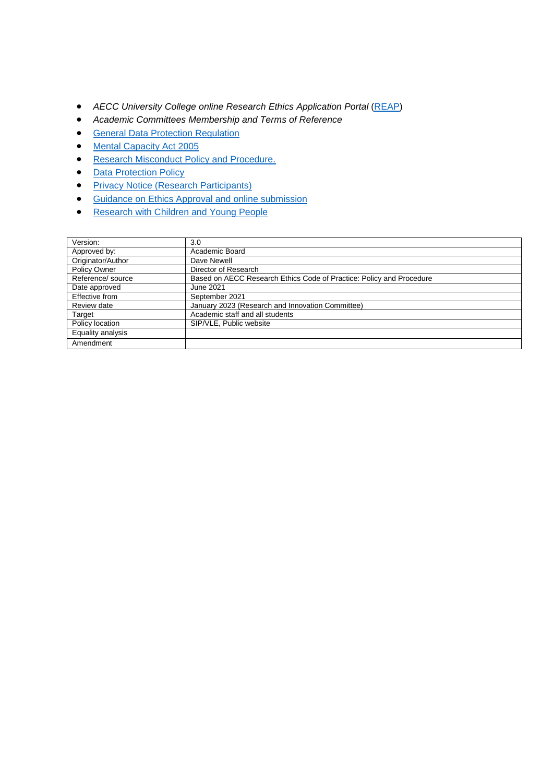- *AECC University College online Research Ethics Application Portal* [\(REAP\)](https://reap.aecc.ac.uk/)
- *Academic Committees Membership and Terms of Reference*
- **[General Data Protection Regulation](https://ico.org.uk/for-organisations/guide-to-data-protection/guide-to-the-general-data-protection-regulation-gdpr/)**
- [Mental Capacity Act 2005](https://www.legislation.gov.uk/ukpga/2005/9/contents)
- [Research Misconduct Policy and Procedure.](https://public.aecc.ac.uk/files/01.%20Administration/03.%20Staff%20Information/1.%20Staff%20Handbook,%20Policies%20and%20Procedures/Research%20Misconduct%20Policy%20and%20Procedure.pdf)
- [Data Protection Policy](https://aeccacuk-my.sharepoint.com/:b:/g/personal/dnewell_aecc_ac_uk/EbcT9O5LTqxPnivsDglCWsEBxmF66p0L96ptzVzGqxArDA?e=lYjzvX)
- [Privacy Notice \(Research Participants\)](https://aeccacuk-my.sharepoint.com/:b:/g/personal/dnewell_aecc_ac_uk/EdNJDPfHoRVJuffRlqfZfREBhfmoYsHLNbfZuy8GkW0ztw?e=wQ6dDH)
- [Guidance on Ethics Approval](https://aeccacuk-my.sharepoint.com/:w:/g/personal/dnewell_aecc_ac_uk/EaoVnzxPprFMoEbL0dTug8ABJ5sBTUDgipMuDcZ4K4kqrw?e=Pf2eKK&wdLOR=cF8CC7576-8E90-AF48-A600-8F806C7D3CA4) and online submission
- [Research with Children and Young People](https://www.invo.org.uk/wp-content/uploads/2016/01/involvingcyp-tips-keyissues-January2016.pdf)

| Version:          | 3.0                                                                  |
|-------------------|----------------------------------------------------------------------|
| Approved by:      | Academic Board                                                       |
| Originator/Author | Dave Newell                                                          |
| Policy Owner      | Director of Research                                                 |
| Reference/ source | Based on AECC Research Ethics Code of Practice: Policy and Procedure |
| Date approved     | June 2021                                                            |
| Effective from    | September 2021                                                       |
| Review date       | January 2023 (Research and Innovation Committee)                     |
| Target            | Academic staff and all students                                      |
| Policy location   | SIP/VLE, Public website                                              |
| Equality analysis |                                                                      |
| Amendment         |                                                                      |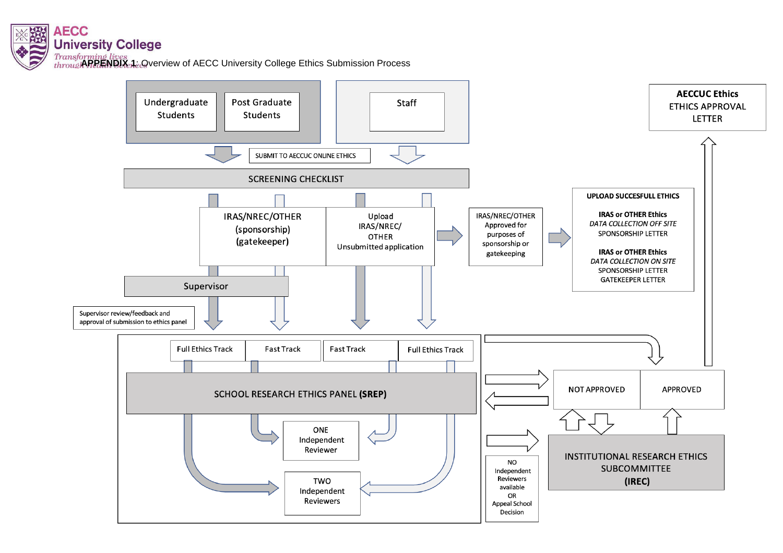

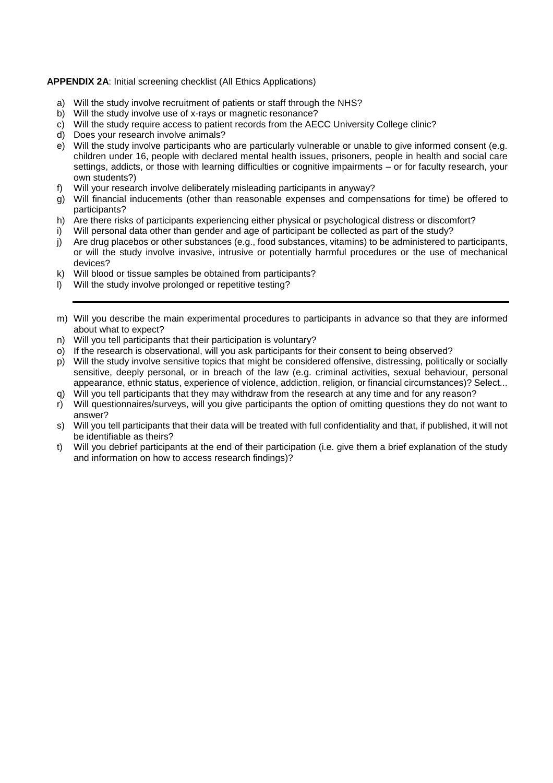## **APPENDIX 2A**: Initial screening checklist (All Ethics Applications)

- a) Will the study involve recruitment of patients or staff through the NHS?
- b) Will the study involve use of x-rays or magnetic resonance?
- c) Will the study require access to patient records from the AECC University College clinic?
- d) Does your research involve animals?
- e) Will the study involve participants who are particularly vulnerable or unable to give informed consent (e.g. children under 16, people with declared mental health issues, prisoners, people in health and social care settings, addicts, or those with learning difficulties or cognitive impairments – or for faculty research, your own students?)
- f) Will your research involve deliberately misleading participants in anyway?
- g) Will financial inducements (other than reasonable expenses and compensations for time) be offered to participants?
- h) Are there risks of participants experiencing either physical or psychological distress or discomfort?
- i) Will personal data other than gender and age of participant be collected as part of the study?
- j) Are drug placebos or other substances (e.g., food substances, vitamins) to be administered to participants, or will the study involve invasive, intrusive or potentially harmful procedures or the use of mechanical devices?
- k) Will blood or tissue samples be obtained from participants?
- l) Will the study involve prolonged or repetitive testing?
- m) Will you describe the main experimental procedures to participants in advance so that they are informed about what to expect?
- n) Will you tell participants that their participation is voluntary?
- o) If the research is observational, will you ask participants for their consent to being observed?
- p) Will the study involve sensitive topics that might be considered offensive, distressing, politically or socially sensitive, deeply personal, or in breach of the law (e.g. criminal activities, sexual behaviour, personal appearance, ethnic status, experience of violence, addiction, religion, or financial circumstances)? Select...
- q) Will you tell participants that they may withdraw from the research at any time and for any reason?
- r) Will questionnaires/surveys, will you give participants the option of omitting questions they do not want to answer?
- s) Will you tell participants that their data will be treated with full confidentiality and that, if published, it will not be identifiable as theirs?
- t) Will you debrief participants at the end of their participation (i.e. give them a brief explanation of the study and information on how to access research findings)?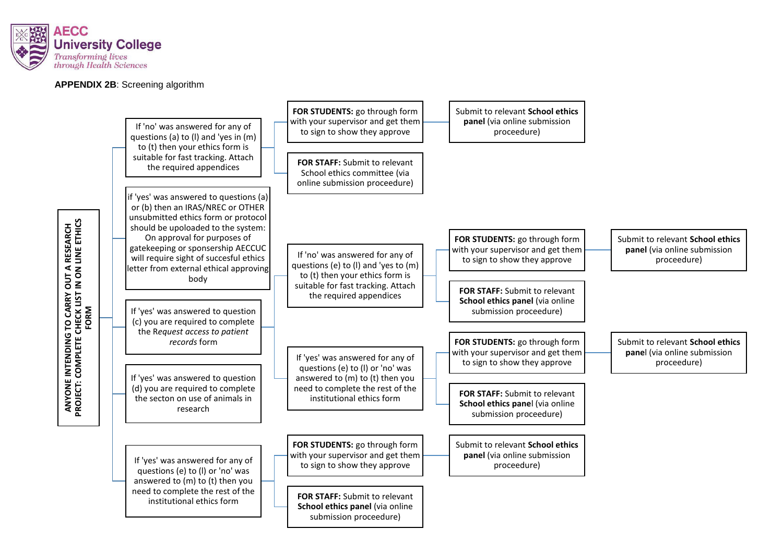

### **APPENDIX 2B**: Screening algorithm

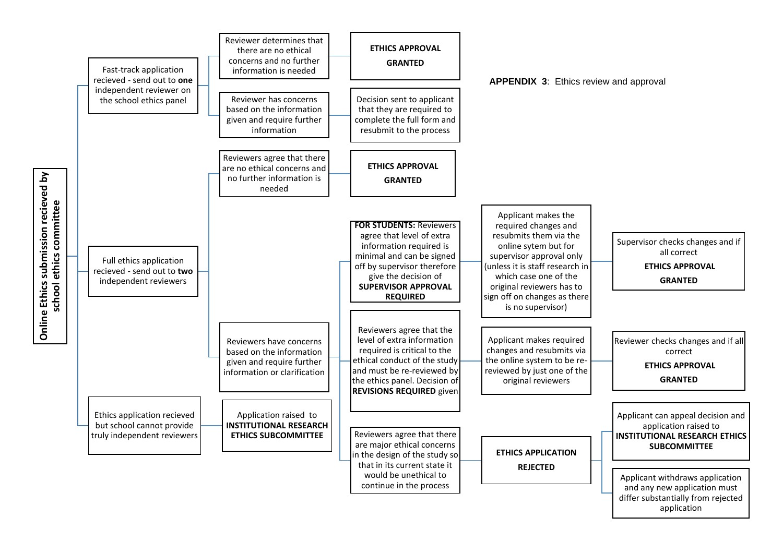